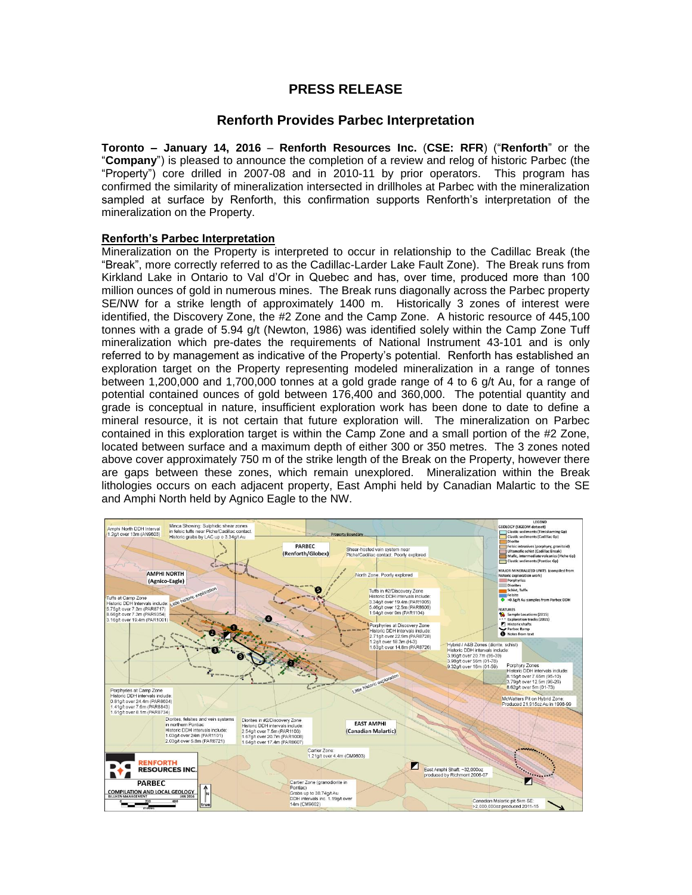# **PRESS RELEASE**

## **Renforth Provides Parbec Interpretation**

**Toronto – January 14, 2016** – **Renforth Resources Inc.** (**CSE: RFR**) ("**Renforth**" or the "**Company**") is pleased to announce the completion of a review and relog of historic Parbec (the "Property") core drilled in 2007-08 and in 2010-11 by prior operators. This program has confirmed the similarity of mineralization intersected in drillholes at Parbec with the mineralization sampled at surface by Renforth, this confirmation supports Renforth's interpretation of the mineralization on the Property.

## **Renforth's Parbec Interpretation**

Mineralization on the Property is interpreted to occur in relationship to the Cadillac Break (the "Break", more correctly referred to as the Cadillac-Larder Lake Fault Zone). The Break runs from Kirkland Lake in Ontario to Val d'Or in Quebec and has, over time, produced more than 100 million ounces of gold in numerous mines. The Break runs diagonally across the Parbec property SE/NW for a strike length of approximately 1400 m. Historically 3 zones of interest were identified, the Discovery Zone, the #2 Zone and the Camp Zone. A historic resource of 445,100 tonnes with a grade of 5.94 g/t (Newton, 1986) was identified solely within the Camp Zone Tuff mineralization which pre-dates the requirements of National Instrument 43-101 and is only referred to by management as indicative of the Property's potential. Renforth has established an exploration target on the Property representing modeled mineralization in a range of tonnes between 1,200,000 and 1,700,000 tonnes at a gold grade range of 4 to 6 g/t Au, for a range of potential contained ounces of gold between 176,400 and 360,000. The potential quantity and grade is conceptual in nature, insufficient exploration work has been done to date to define a mineral resource, it is not certain that future exploration will. The mineralization on Parbec contained in this exploration target is within the Camp Zone and a small portion of the #2 Zone, located between surface and a maximum depth of either 300 or 350 metres. The 3 zones noted above cover approximately 750 m of the strike length of the Break on the Property, however there are gaps between these zones, which remain unexplored. Mineralization within the Break lithologies occurs on each adjacent property, East Amphi held by Canadian Malartic to the SE and Amphi North held by Agnico Eagle to the NW.

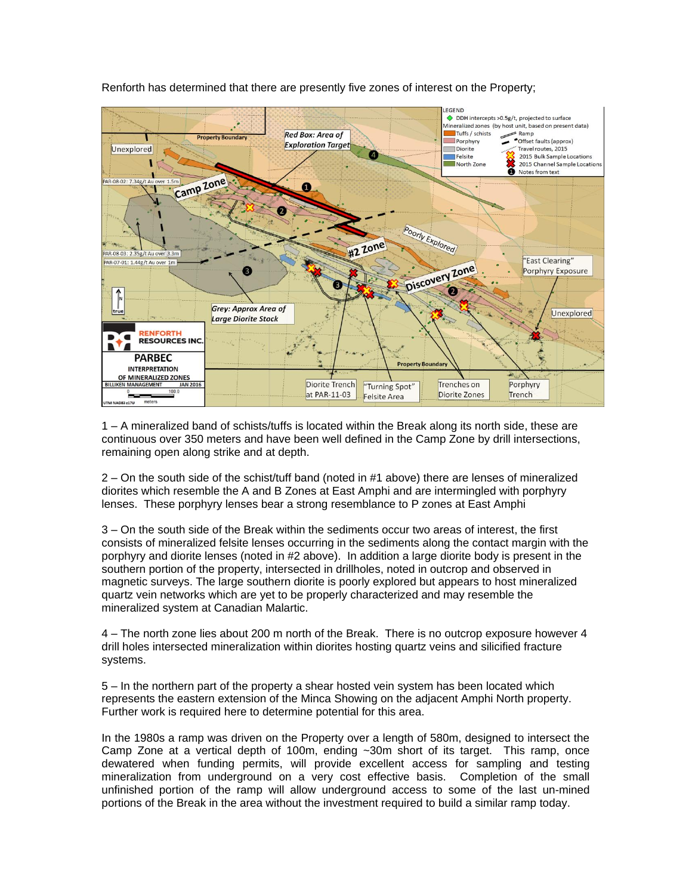

Renforth has determined that there are presently five zones of interest on the Property;

1 – A mineralized band of schists/tuffs is located within the Break along its north side, these are continuous over 350 meters and have been well defined in the Camp Zone by drill intersections, remaining open along strike and at depth.

2 – On the south side of the schist/tuff band (noted in #1 above) there are lenses of mineralized diorites which resemble the A and B Zones at East Amphi and are intermingled with porphyry lenses. These porphyry lenses bear a strong resemblance to P zones at East Amphi

3 – On the south side of the Break within the sediments occur two areas of interest, the first consists of mineralized felsite lenses occurring in the sediments along the contact margin with the porphyry and diorite lenses (noted in #2 above). In addition a large diorite body is present in the southern portion of the property, intersected in drillholes, noted in outcrop and observed in magnetic surveys. The large southern diorite is poorly explored but appears to host mineralized quartz vein networks which are yet to be properly characterized and may resemble the mineralized system at Canadian Malartic.

4 – The north zone lies about 200 m north of the Break. There is no outcrop exposure however 4 drill holes intersected mineralization within diorites hosting quartz veins and silicified fracture systems.

5 – In the northern part of the property a shear hosted vein system has been located which represents the eastern extension of the Minca Showing on the adjacent Amphi North property. Further work is required here to determine potential for this area.

In the 1980s a ramp was driven on the Property over a length of 580m, designed to intersect the Camp Zone at a vertical depth of 100m, ending ~30m short of its target. This ramp, once dewatered when funding permits, will provide excellent access for sampling and testing mineralization from underground on a very cost effective basis. Completion of the small unfinished portion of the ramp will allow underground access to some of the last un-mined portions of the Break in the area without the investment required to build a similar ramp today.